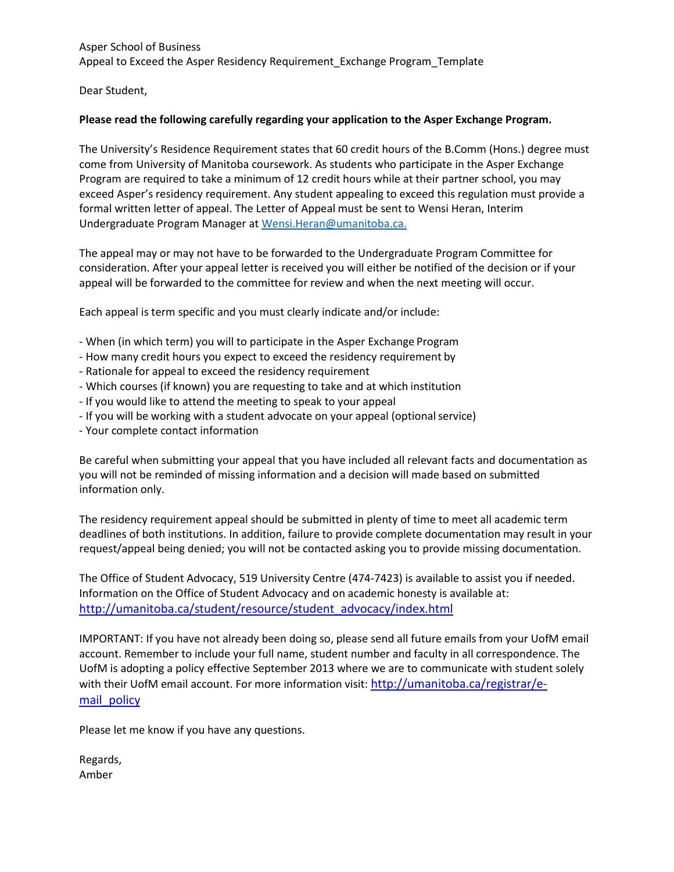Asper School of Business Appeal to Exceed the Asper Residency Requirement\_Exchange Program\_Template

Dear Student,

## **Please read the following carefully regarding your application to the Asper Exchange Program.**

The University's Residence Requirement states that 60 credit hours of the B.Comm (Hons.) degree must come from University of Manitoba coursework. As students who participate in the Asper Exchange Program are required to take a minimum of 12 credit hours while at their partner school, you may exceed Asper's residency requirement. Any student appealing to exceed this regulation must provide a formal written letter of appeal. The Letter of Appeal must be sent to Wensi Heran, Interim Undergraduate Program Manager a[t Wensi.Heran@umanitoba.ca.](mailto:Wensi.Heran@umanitoba.ca.)

The appeal may or may not have to be forwarded to the Undergraduate Program Committee for consideration. After your appeal letter is received you will either be notified of the decision or if your appeal will be forwarded to the committee for review and when the next meeting will occur.

Each appeal is term specific and you must clearly indicate and/or include:

- When (in which term) you will to participate in the Asper Exchange Program
- How many credit hours you expect to exceed the residency requirement by
- Rationale for appeal to exceed the residency requirement
- Which courses (if known) you are requesting to take and at which institution
- If you would like to attend the meeting to speak to your appeal
- If you will be working with a student advocate on your appeal (optionalservice)
- Your complete contact information

Be careful when submitting your appeal that you have included all relevant facts and documentation as you will not be reminded of missing information and a decision will made based on submitted information only.

The residency requirement appeal should be submitted in plenty of time to meet all academic term deadlines of both institutions. In addition, failure to provide complete documentation may result in your request/appeal being denied; you will not be contacted asking you to provide missing documentation.

The Office of Student Advocacy, 519 University Centre (474-7423) is available to assist you if needed. Information on the Office of Student Advocacy and on academic honesty is available at: [http://umanitoba.ca/student/resource/student\\_advocacy/index.html](http://umanitoba.ca/student/resource/student_advocacy/index.html)

IMPORTANT: If you have not already been doing so, please send all future emails from your UofM email account. Remember to include your full name, student number and faculty in all correspondence. The UofM is adopting a policy effective September 2013 where we are to communicate with student solely with their UofM email account. For more information visit: [http://umanitoba.ca/registrar/e](http://umanitoba.ca/registrar/e-mail_policy)mail policy

Please let me know if you have any questions.

Regards, Amber